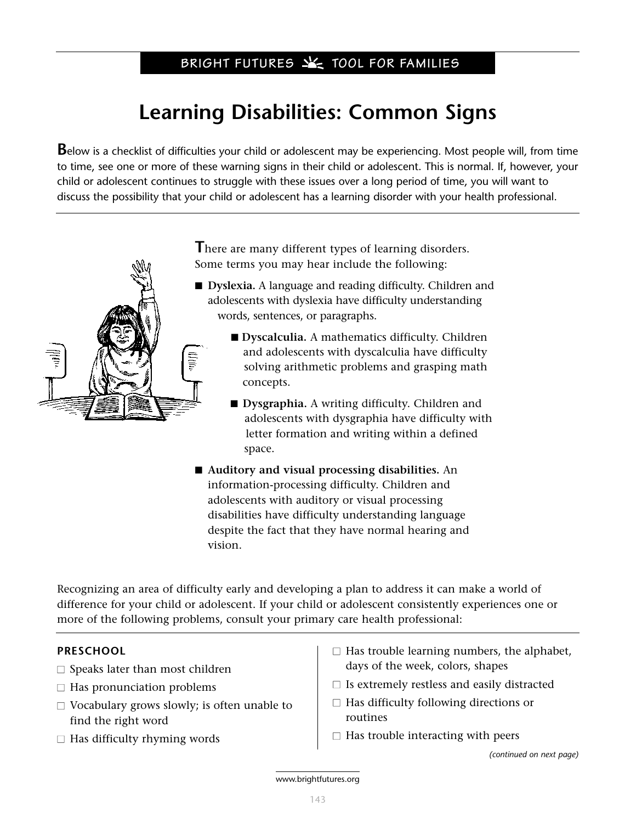# **Learning Disabilities: Common Signs**

**B**elow is a checklist of difficulties your child or adolescent may be experiencing. Most people will, from time to time, see one or more of these warning signs in their child or adolescent. This is normal. If, however, your child or adolescent continues to struggle with these issues over a long period of time, you will want to discuss the possibility that your child or adolescent has a learning disorder with your health professional.



**T**here are many different types of learning disorders. Some terms you may hear include the following:

- **Dyslexia.** A language and reading difficulty. Children and adolescents with dyslexia have difficulty understanding words, sentences, or paragraphs.
	- **Dyscalculia.** A mathematics difficulty. Children and adolescents with dyscalculia have difficulty solving arithmetic problems and grasping math concepts.
	- **Dysgraphia.** A writing difficulty. Children and adolescents with dysgraphia have difficulty with letter formation and writing within a defined space.
- **Auditory and visual processing disabilities.** An information-processing difficulty. Children and adolescents with auditory or visual processing disabilities have difficulty understanding language despite the fact that they have normal hearing and vision.

Recognizing an area of difficulty early and developing a plan to address it can make a world of difference for your child or adolescent. If your child or adolescent consistently experiences one or more of the following problems, consult your primary care health professional:

# **PRESCHOOL**

- $\Box$  Speaks later than most children
- $\Box$  Has pronunciation problems
- $\Box$  Vocabulary grows slowly; is often unable to find the right word
- $\Box$  Has difficulty rhyming words
- $\Box$  Has trouble learning numbers, the alphabet, days of the week, colors, shapes
- $\square$  Is extremely restless and easily distracted
- $\Box$  Has difficulty following directions or routines
- $\Box$  Has trouble interacting with peers

*(continued on next page)*